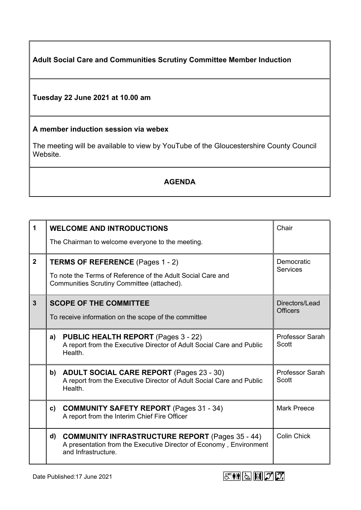**Adult Social Care and Communities Scrutiny Committee Member Induction**

## **Tuesday 22 June 2021 at 10.00 am**

## **A member induction session via webex**

The meeting will be available to view by YouTube of the Gloucestershire County Council Website.

## **AGENDA**

| 1            |                                                                                                                                               | <b>WELCOME AND INTRODUCTIONS</b><br>The Chairman to welcome everyone to the meeting.                                                                | Chair                             |
|--------------|-----------------------------------------------------------------------------------------------------------------------------------------------|-----------------------------------------------------------------------------------------------------------------------------------------------------|-----------------------------------|
| $2^{\circ}$  | TERMS OF REFERENCE (Pages 1 - 2)<br>To note the Terms of Reference of the Adult Social Care and<br>Communities Scrutiny Committee (attached). |                                                                                                                                                     | Democratic<br><b>Services</b>     |
| $\mathbf{3}$ | <b>SCOPE OF THE COMMITTEE</b><br>To receive information on the scope of the committee                                                         |                                                                                                                                                     | Directors/Lead<br><b>Officers</b> |
|              | a)                                                                                                                                            | <b>PUBLIC HEALTH REPORT (Pages 3 - 22)</b><br>A report from the Executive Director of Adult Social Care and Public<br>Health.                       | Professor Sarah<br>Scott          |
|              | b)                                                                                                                                            | <b>ADULT SOCIAL CARE REPORT (Pages 23 - 30)</b><br>A report from the Executive Director of Adult Social Care and Public<br>Health.                  | Professor Sarah<br>Scott          |
|              | $\mathbf{c}$                                                                                                                                  | <b>COMMUNITY SAFETY REPORT (Pages 31 - 34)</b><br>A report from the Interim Chief Fire Officer                                                      | <b>Mark Preece</b>                |
|              | d)                                                                                                                                            | <b>COMMUNITY INFRASTRUCTURE REPORT (Pages 35 - 44)</b><br>A presentation from the Executive Director of Economy, Environment<br>and Infrastructure. | <b>Colin Chick</b>                |